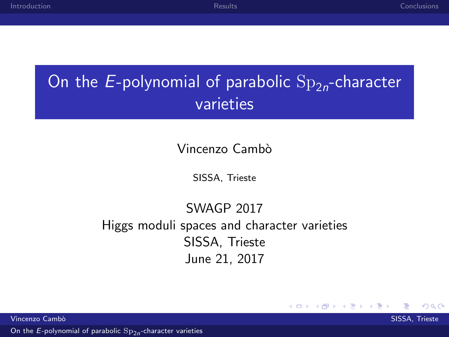### <span id="page-0-0"></span>On the  $E$ -polynomial of parabolic  $\mathrm{Sp}_{2n}$ -character varieties

#### Vincenzo Cambò

SISSA, Trieste

#### SWAGP 2017 Higgs moduli spaces and character varieties SISSA, Trieste June 21, 2017

**K ロ ▶ K @ ▶ K** 

重き

Vincenzo Cambò in compostante a compostante a compostante a compostante a compostante a SISSA, Trieste a SISSA, Trieste a compostante a compostante a compostante a compostante a compostante a compostante a compostante a co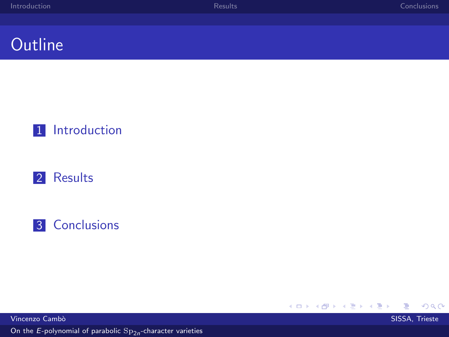### **Outline**







**K ロ ト K 御 ト K 君 ト K 君 ト**  $299$ ∍

Vincenzo Camb`o SISSA, Trieste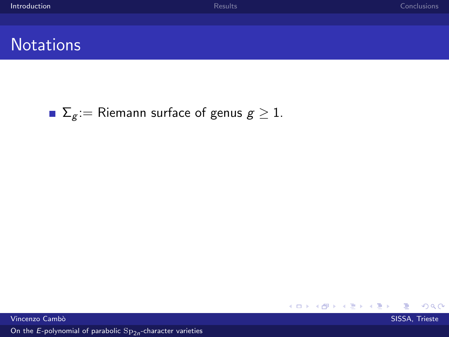$299$ 

#### <span id="page-2-0"></span>**Notations**

 $\Gamma$   $\Sigma$ <sub>g</sub> := Riemann surface of genus  $g \geq 1$ .

メロメ メタメ メミメ メミメ Vincenzo Camb`o SISSA, Trieste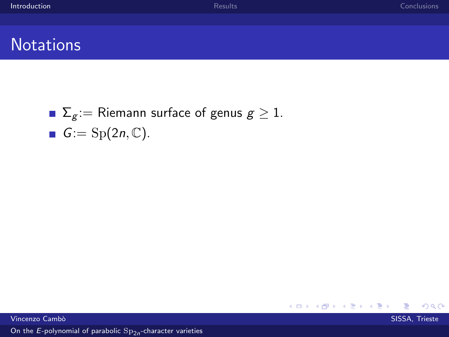$299$ 

### **Notations**

 $\Gamma$   $\Sigma$ <sub>g</sub> := Riemann surface of genus  $g \geq 1$ . **G**:= Sp(2*n*,  $\mathbb{C}$ ).

Vincenzo Cambò in compostante a compostante a compostante a compostante a compostante a SISSA, Trieste a SISSA, Trieste a compostante a compostante a compostante a compostante a compostante a compostante a compostante a co

On the  $E$ [-polynomial of parabolic](#page-0-0)  $\mathrm{Sp}_{2n}$ -character varieties

メロメ メタメ メミメ メミメ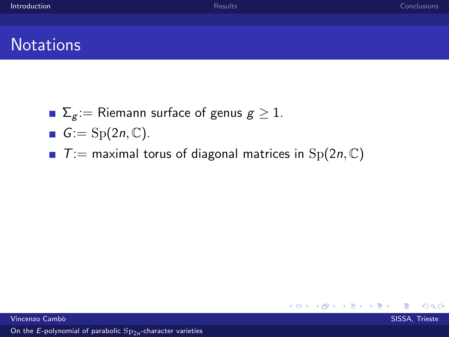$QQ$ 

メロメ メタメ メミメ メミメ

### **Notations**

- $\Gamma$   $\Sigma$ <sub>g</sub> := Riemann surface of genus  $g \ge 1$ .
- $G:=\mathrm{Sp}(2n,\mathbb{C}).$
- $\blacksquare$  T: = maximal torus of diagonal matrices in Sp(2n, C)

Vincenzo Cambò in compostante a compostante a compostante a compostante a compostante a SISSA, Trieste a SISSA, Trieste a compostante a compostante a compostante a compostante a compostante a compostante a compostante a co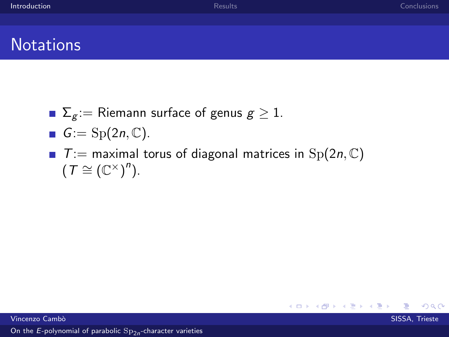### **Notations**

- $\Gamma$   $\Sigma$ <sub>g</sub> := Riemann surface of genus  $g \ge 1$ .
- $G:={\rm Sp}(2n,\mathbb{C}).$
- $\blacksquare$  T: = maximal torus of diagonal matrices in  $Sp(2n, \mathbb{C})$  $(T \cong (\mathbb{C}^{\times})^n)$ .

 $\Omega$ 

メロメ メ都 メメ きょ メモメ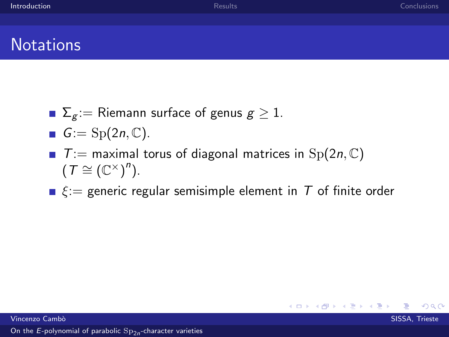### **Notations**

- $\Gamma$   $\Sigma$ <sub>g</sub> := Riemann surface of genus  $g \ge 1$ .
- $G:={\rm Sp}(2n,\mathbb{C}).$
- $\blacksquare$  T: = maximal torus of diagonal matrices in  $Sp(2n, \mathbb{C})$  $(T \cong (\mathbb{C}^{\times})^n)$ .
- $\xi$ : generic regular semisimple element in T of finite order

 $\Omega$ 

K ロ ▶ K 御 ▶ K 君 ▶ K 君 ▶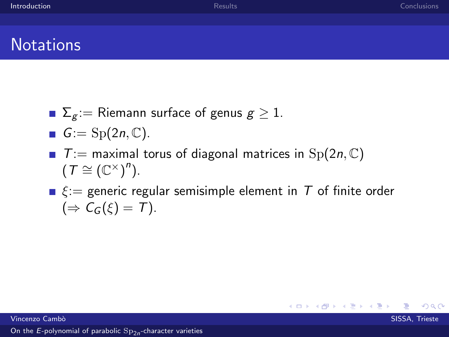### **Notations**

- $\Gamma$   $\Sigma$ <sub>g</sub> := Riemann surface of genus  $g \ge 1$ .
- $G:={\rm Sp}(2n,\mathbb{C}).$
- $\blacksquare$  T: = maximal torus of diagonal matrices in Sp(2n, C)  $(T \cong (\mathbb{C}^{\times})^n)$ .
- $\xi$ : generic regular semisimple element in T of finite order  $(\Rightarrow \mathcal{C}_G(\xi) = \mathcal{T}).$

K ロ ▶ K 御 ▶ K 君 ▶ K 君 ▶

Vincenzo Cambò in compostante a compostante a compostante a compostante a compostante a SISSA, Trieste a SISSA, Trieste a compostante a compostante a compostante a compostante a compostante a compostante a compostante a co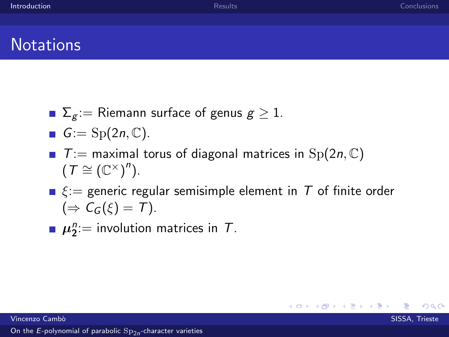### **Notations**

- $\blacksquare$   $\Sigma_g :=$  Riemann surface of genus  $g \geq 1$ .
- $G:={\rm Sp}(2n,\mathbb{C}).$
- $\blacksquare$  T:  $=$  maximal torus of diagonal matrices in Sp(2n, C)  $(T \cong (\mathbb{C}^{\times})^n)$ .
- $\xi$ : generic regular semisimple element in T of finite order  $(\Rightarrow \mathcal{C}_G(\xi) = \mathcal{T}).$

メロメ メ部メ メミメ メミメ

 $\mu_2^n$ := involution matrices in T.

Vincenzo Cambò in compostante a compostante a compostante a compostante a compostante a SISSA, Trieste a SISSA, Trieste a compostante a compostante a compostante a compostante a compostante a compostante a compostante a co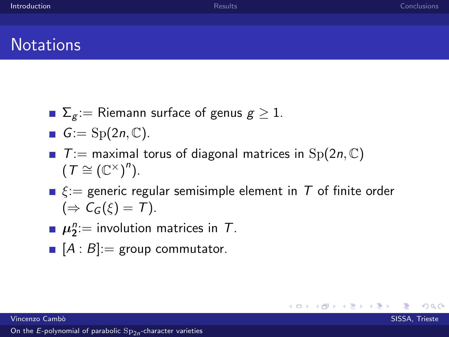### **Notations**

- $\blacksquare$   $\Sigma_g :=$  Riemann surface of genus  $g \geq 1$ .
- $G:={\rm Sp}(2n,\mathbb{C}).$
- $\blacksquare$  T:  $=$  maximal torus of diagonal matrices in Sp(2n, C)  $(T \cong (\mathbb{C}^{\times})^n)$ .
- $\xi$ : generic regular semisimple element in T of finite order  $(\Rightarrow C_G(\xi) = T).$

メロメ メ部メ メミメ メミメ

- $\mu_2^n$ := involution matrices in T.
- $[A : B] :=$  group commutator.

Vincenzo Cambò in compostante a compostante a compostante a compostante a compostante a SISSA, Trieste a SISSA, Trieste a compostante a compostante a compostante a compostante a compostante a compostante a compostante a co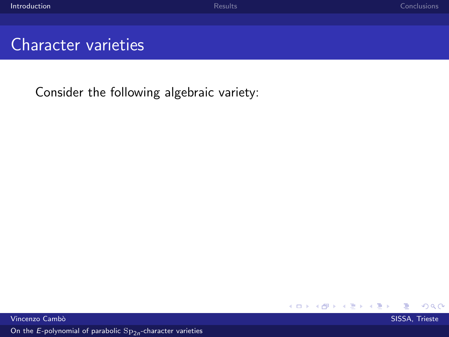### Character varieties

Consider the following algebraic variety:

メロメ メタメ メミメ メ  $299$ э

Vincenzo Cambò in compostante a compostante a compostante a compostante a compostante a SISSA, Trieste a SISSA, Trieste a compostante a compostante a compostante a compostante a compostante a compostante a compostante a co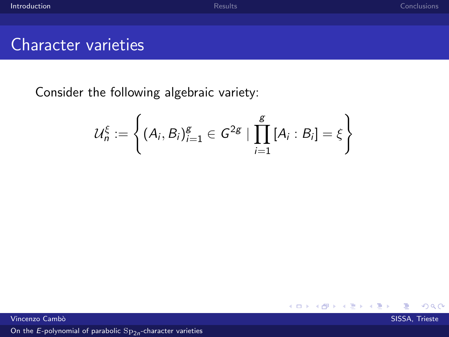#### Character varieties

Consider the following algebraic variety:

$$
\mathcal{U}_n^{\xi} := \left\{ (A_i, B_i)_{i=1}^g \in G^{2g} \mid \prod_{i=1}^g [A_i : B_i] = \xi \right\}
$$

э

 $299$ 

メロメ メタメ メミメ メ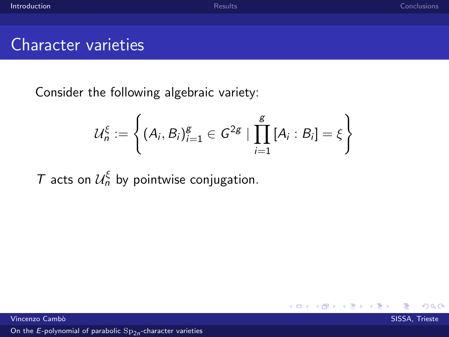#### Character varieties

Consider the following algebraic variety:

$$
\mathcal{U}_n^{\xi} := \left\{ (A_i, B_i)_{i=1}^g \in G^{2g} \mid \prod_{i=1}^g [A_i : B_i] = \xi \right\}
$$

**K ロ ▶ K 御 ▶ K** 

э

T acts on  $\mathcal{U}_n^{\xi}$  by pointwise conjugation.

Vincenzo Cambò in compostante a compostante a compostante a compostante a compostante a SISSA, Trieste a SISSA, Trieste a compostante a compostante a compostante a compostante a compostante a compostante a compostante a co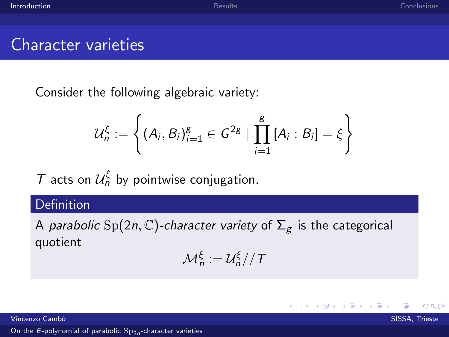#### Character varieties

Consider the following algebraic variety:

$$
\mathcal{U}_n^{\xi} := \left\{ (A_i, B_i)_{i=1}^g \in G^{2g} \mid \prod_{i=1}^g [A_i : B_i] = \xi \right\}
$$

T acts on  $\mathcal{U}_n^{\xi}$  by pointwise conjugation.

#### Definition

A parabolic Sp(2n, C)-character variety of  $\Sigma_{g}$  is the categorical quotient

$$
\mathcal{M}_n^{\xi} := \mathcal{U}_n^{\xi} // \mathcal{T}
$$

メロメ メタメ メミメ

Vincenzo Cambò in compostante a compostante a compostante a compostante a compostante a SISSA, Trieste a SISSA, Trieste a compostante a compostante a compostante a compostante a compostante a compostante a compostante a co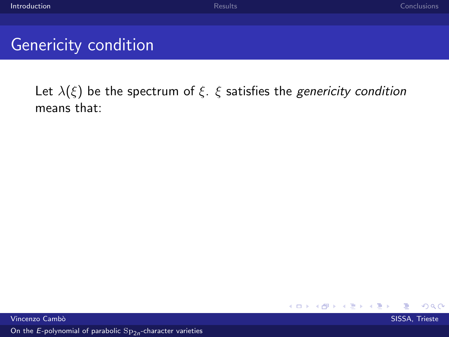### Genericity condition

Let  $\lambda(\xi)$  be the spectrum of  $\xi$ .  $\xi$  satisfies the *genericity condition* means that:

> メロメ メタメ メミメ メ  $\Omega$

Vincenzo Cambò in compostante a compostante a compostante a compostante a compostante a SISSA, Trieste a SISSA, Trieste a compostante a compostante a compostante a compostante a compostante a compostante a compostante a co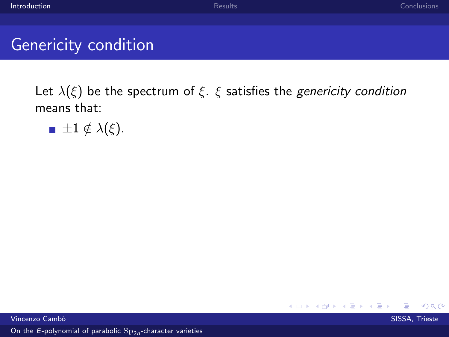### Genericity condition

Let  $\lambda(\xi)$  be the spectrum of  $\xi$ .  $\xi$  satisfies the *genericity condition* means that:

 $\blacksquare \pm 1 \notin \lambda(\xi)$ .

メロメ メ都 メメ きょ メモメ Vincenzo Cambò in compostante a compostante a compostante a compostante a compostante a SISSA, Trieste a SISSA, Trieste a compostante a compostante a compostante a compostante a compostante a compostante a compostante a co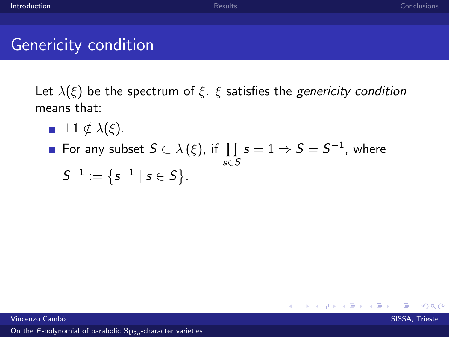### Genericity condition

Let  $\lambda(\xi)$  be the spectrum of  $\xi$ .  $\xi$  satisfies the genericity condition means that:

- $\blacksquare \pm 1 \notin \lambda(\xi)$ .
- For any subset  $S\subset \lambda\left(\xi\right)$ , if  $\prod\,s=1\Rightarrow S=S^{-1},$  where s∈S

$$
\mathsf{S}^{-1}:=\big\{\mathsf{s}^{-1}\mid \mathsf{s}\in \mathsf{S}\big\}.
$$

 $\Omega$ 

メロト メ団 トメ ミトメ

Vincenzo Cambò in compostante a compostante a compostante a compostante a compostante a SISSA, Trieste a SISSA, Trieste a compostante a compostante a compostante a compostante a compostante a compostante a compostante a co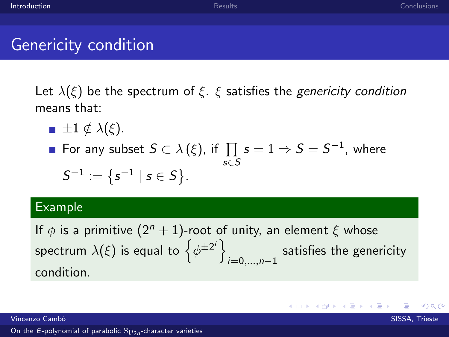$209$ 

### Genericity condition

Let  $\lambda(\xi)$  be the spectrum of  $\xi$ .  $\xi$  satisfies the genericity condition means that:

- $\blacksquare \pm 1 \notin \lambda(\xi)$ .
- For any subset  $S\subset \lambda\left(\xi\right)$ , if  $\prod\,s=1\Rightarrow S=S^{-1},$  where s∈S

$$
S^{-1}:=\big\{s^{-1}\mid s\in S\big\}.
$$

#### Example

If  $\phi$  is a primitive  $(2^n + 1)$ -root of unity, an element  $\xi$  whose spectrum  $\lambda(\xi)$  is equal to  $\left\{\phi^{\pm 2^i}\right\}$ i=0,...,n−1 satisfies the genericity condition.

メロメ メ御う メミメ メミメー

Vincenzo Cambò in compostante a compostante a compostante a compostante a compostante a SISSA, Trieste a SISSA, Trieste a compostante a compostante a compostante a compostante a compostante a compostante a compostante a co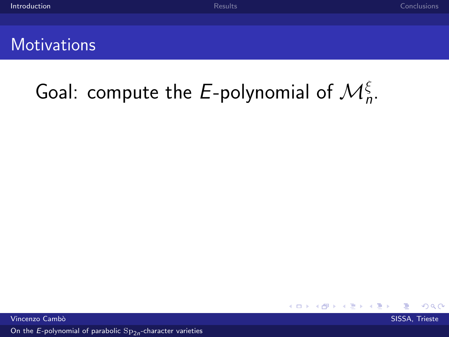### **Motivations**

# Goal: compute the E-polynomial of  $\mathcal{M}^{\xi}_n$ .

 $\Omega$ 

Vincenzo Cambò in compostante a compostante a compostante a compostante a compostante a SISSA, Trieste a SISSA, Trieste a compostante a compostante a compostante a compostante a compostante a compostante a compostante a co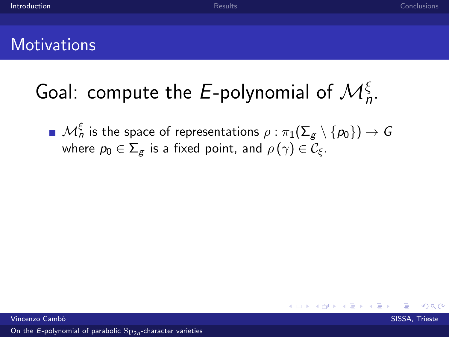### **Motivations**

# Goal: compute the E-polynomial of  $\mathcal{M}^{\xi}_n$ .

 $\mathcal{M}^\xi_n$  is the space of representations  $\rho:\pi_1(\Sigma_g\setminus\{p_0\})\to G$ where  $p_0 \in \Sigma_{\mathcal{E}}$  is a fixed point, and  $\rho(\gamma) \in \mathcal{C}_{\mathcal{E}}$ .

**K ロ ▶ | K 伺 ▶ | K ヨ ▶** 

Vincenzo Cambò in compostante a compostante a compostante a compostante a compostante a SISSA, Trieste a SISSA, Trieste a compostante a compostante a compostante a compostante a compostante a compostante a compostante a co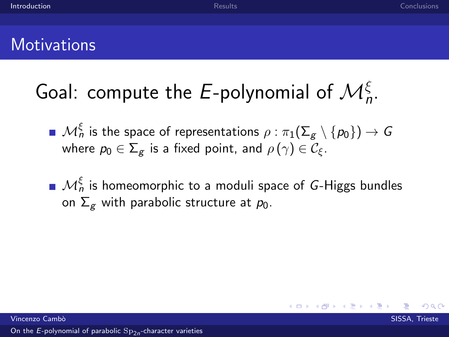### **Motivations**

# Goal: compute the E-polynomial of  $\mathcal{M}^{\xi}_n$ .

- $\mathcal{M}^\xi_n$  is the space of representations  $\rho:\pi_1(\Sigma_g\setminus\{p_0\})\to G$ where  $p_0 \in \Sigma_g$  is a fixed point, and  $\rho(\gamma) \in \mathcal{C}_{\xi}$ .
- $\mathcal{M}^\xi_n$  is homeomorphic to a moduli space of  $\mathsf{G}\text{-}\mathsf{Higgs}$  bundles on  $\Sigma_g$  with parabolic structure at  $p_0$ .

 $\leftarrow$   $\Box$   $\rightarrow$   $\rightarrow$   $\leftarrow$   $\Box$   $\rightarrow$   $\rightarrow$   $\rightarrow$ 

Vincenzo Cambò in compostante a compostante a compostante a compostante a compostante a SISSA, Trieste a SISSA, Trieste a compostante a compostante a compostante a compostante a compostante a compostante a compostante a co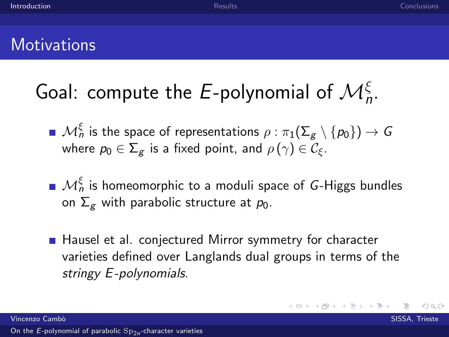### **Motivations**

# Goal: compute the E-polynomial of  $\mathcal{M}^{\xi}_n$ .

- $\mathcal{M}^\xi_n$  is the space of representations  $\rho:\pi_1(\Sigma_g\setminus\{p_0\})\to G$ where  $p_0 \in \Sigma_{\mathcal{E}}$  is a fixed point, and  $\rho(\gamma) \in \mathcal{C}_{\mathcal{E}}$ .
- $\mathcal{M}^\xi_n$  is homeomorphic to a moduli space of  $\mathsf{G}\text{-}\mathsf{Higgs}$  bundles on  $\Sigma_g$  with parabolic structure at  $p_0$ .
- Hausel et al. conjectured Mirror symmetry for character varieties defined over Langlands dual groups in terms of the stringy E-polynomials.

メロメ メ都 メメ きょ メモメ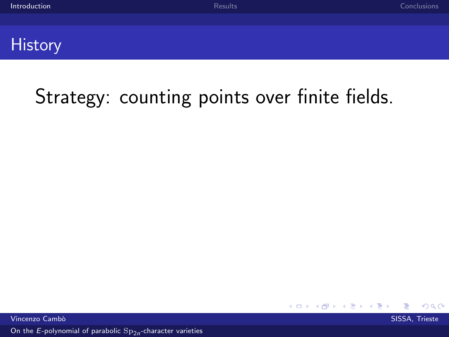#### **History**

## Strategy: counting points over finite fields.

Vincenzo Cambò in compostante a compostante a compostante a compostante a compostante a SISSA, Trieste a SISSA, Trieste a compostante a compostante a compostante a compostante a compostante a compostante a compostante a co

 $\Omega$ 

**K ロ ト K 御 ト K 君 ト**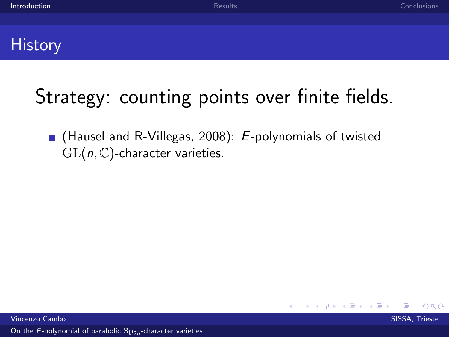#### **History**

## Strategy: counting points over finite fields.

**E** (Hausel and R-Villegas, 2008):  $E$ -polynomials of twisted  $GL(n, \mathbb{C})$ -character varieties.

Vincenzo Cambò in compostante a compostante a compostante a compostante a compostante a SISSA, Trieste a SISSA, Trieste a compostante a compostante a compostante a compostante a compostante a compostante a compostante a co

 $\Omega$ 

**K ロ ▶ K @ ▶ K** 

重き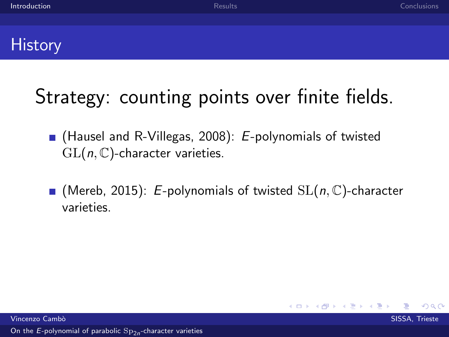### **History**

## Strategy: counting points over finite fields.

- **E** (Hausel and R-Villegas, 2008):  $E$ -polynomials of twisted  $GL(n, \mathbb{C})$ -character varieties.
- $\blacksquare$  (Mereb, 2015): E-polynomials of twisted  $SL(n, \mathbb{C})$ -character varieties.

**≮ロト ⊀ 御 ▶ ⊀ 君 ▶** 

Vincenzo Cambò in compostante a compostante a compostante a compostante a compostante a SISSA, Trieste a SISSA, Trieste a compostante a compostante a compostante a compostante a compostante a compostante a compostante a co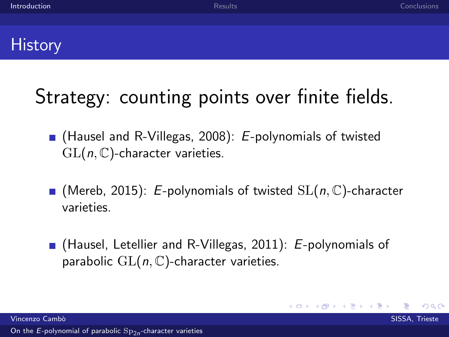### **History**

## Strategy: counting points over finite fields.

- **E** (Hausel and R-Villegas, 2008):  $E$ -polynomials of twisted  $GL(n, \mathbb{C})$ -character varieties.
- $\blacksquare$  (Mereb, 2015): E-polynomials of twisted  $SL(n, \mathbb{C})$ -character varieties.
- $\blacksquare$  (Hausel, Letellier and R-Villegas, 2011): E-polynomials of parabolic  $GL(n, \mathbb{C})$ -character varieties.

K ロ ▶ K 御 ▶ K 君 ▶ K 君 ▶

Vincenzo Cambò in compostante a compostante a compostante a compostante a compostante a SISSA, Trieste a SISSA, Trieste a compostante a compostante a compostante a compostante a compostante a compostante a compostante a co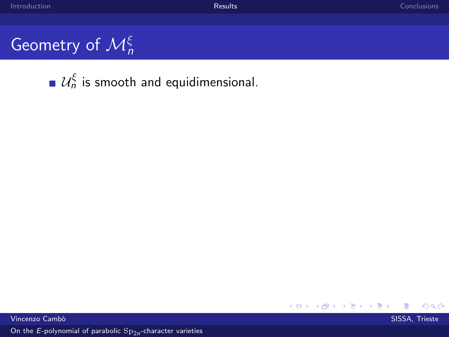$299$ 

## <span id="page-26-0"></span>Geometry of  $\mathcal{M}^{\xi}_{n}$

 $\mathcal{U}_n^\xi$  is smooth and equidimensional.

メロメ メ御メ メモメ メモメ

Vincenzo Cambò in compostante a compostante a compostante a compostante a compostante a SISSA, Trieste a SISSA, Trieste a compostante a compostante a compostante a compostante a compostante a compostante a compostante a co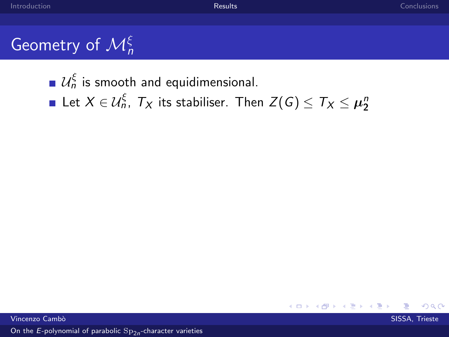$\mathcal{U}_n^\xi$  is smooth and equidimensional.

Let  $X\in \mathcal{U}_n^\xi$ ,  $\mathcal{T}_X$  its stabiliser. Then  $Z(\mathcal{G})\leq \mathcal{T}_X\leq \boldsymbol{\mu}_2^n$ 

**≮ロト ⊀ 倒 ト ⊀ き ト**  $\Omega$ 

Vincenzo Cambò in controllato della controllato della controllato della controllato della controllato SISSA, Trieste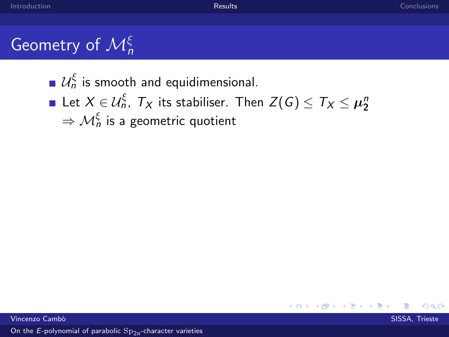$\mathcal{U}_n^\xi$  is smooth and equidimensional.

Let  $X \in \mathcal{U}_n^\xi$ ,  $\mathcal{T}_X$  its stabiliser. Then  $Z(\mathcal{G}) \leq \mathcal{T}_X \leq \boldsymbol{\mu}_2^n$  $\Rightarrow {\cal M}^\xi_n$  is a geometric quotient

 $\Omega$ 

**K ロ ▶ K 御 ▶ K**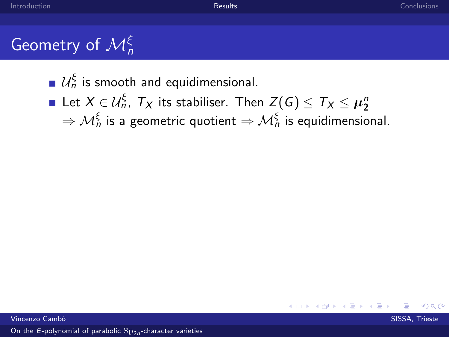$\mathcal{U}_n^\xi$  is smooth and equidimensional.

Let  $X \in \mathcal{U}_n^\xi$ ,  $\mathcal{T}_X$  its stabiliser. Then  $Z(G) \leq \mathcal{T}_X \leq \boldsymbol{\mu}_2^n$  $\Rightarrow {\cal M}^\xi_n$  is a geometric quotient  $\Rightarrow {\cal M}^\xi_n$  is equidimensional.

 $\Omega$ 

**K ロ ▶ K 御 ▶ K**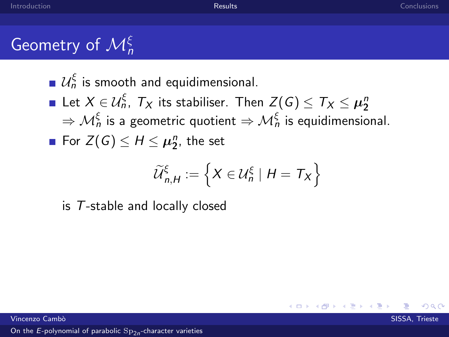## Geometry of  $\mathcal{M}^{\xi}_{n}$

 $\mathcal{U}_n^\xi$  is smooth and equidimensional.

Let  $X \in \mathcal{U}_n^\xi$ ,  $\mathcal{T}_X$  its stabiliser. Then  $Z(G) \leq \mathcal{T}_X \leq \boldsymbol{\mu}_2^n$  $\Rightarrow {\cal M}^\xi_n$  is a geometric quotient  $\Rightarrow {\cal M}^\xi_n$  is equidimensional. For  $Z(G) \leq H \leq \mu_2^n$ , the set

$$
\widetilde{\mathcal{U}}_{n,H}^{\xi} := \left\{ X \in \mathcal{U}_n^{\xi} \mid H = T_X \right\}
$$

**K ロ ▶ K 何 ▶ K** 

is T-stable and locally closed

Vincenzo Cambò in controllato della controllato della controllato della controllato della controllato SISSA, Trieste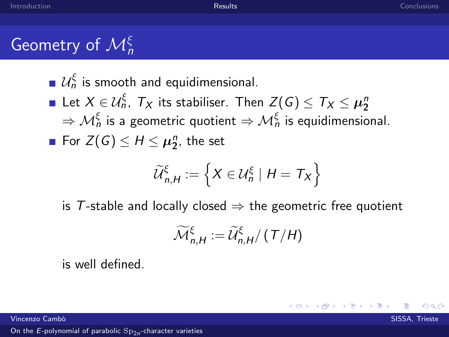## Geometry of  $\mathcal{M}^{\xi}_{n}$

 $\mathcal{U}_n^\xi$  is smooth and equidimensional.

Let  $X \in \mathcal{U}_n^\xi$ ,  $\mathcal{T}_X$  its stabiliser. Then  $Z(G) \leq \mathcal{T}_X \leq \boldsymbol{\mu}_2^n$  $\Rightarrow {\cal M}^\xi_n$  is a geometric quotient  $\Rightarrow {\cal M}^\xi_n$  is equidimensional. For  $Z(G) \leq H \leq \mu_2^n$ , the set

$$
\widetilde{\mathcal{U}}_{n,H}^{\xi} := \left\{ X \in \mathcal{U}_n^{\xi} \mid H = T_X \right\}
$$

is T-stable and locally closed  $\Rightarrow$  the geometric free quotient

$$
\widetilde{\mathcal{M}}_{n,H}^{\xi} := \widetilde{\mathcal{U}}_{n,H}^{\xi}/\left(\left(\frac{T}{H}\right)\right)
$$

**K ロ ト K 御 ト K 走 ト** 

is well defined.

Vincenzo Cambò in controllato della controllato della controllato della controllato della controllato SISSA, Trieste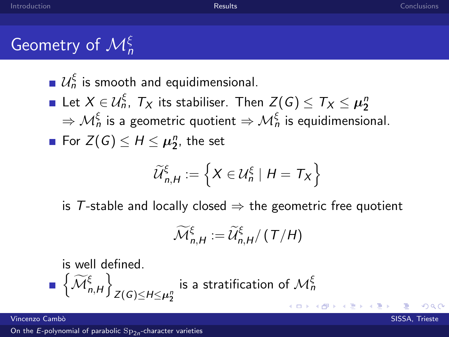## Geometry of  $\mathcal{M}^{\xi}_{n}$

 $\mathcal{U}_n^\xi$  is smooth and equidimensional.

Let  $X \in \mathcal{U}_n^\xi$ ,  $\mathcal{T}_X$  its stabiliser. Then  $Z(G) \leq \mathcal{T}_X \leq \boldsymbol{\mu}_2^n$  $\Rightarrow {\cal M}^\xi_n$  is a geometric quotient  $\Rightarrow {\cal M}^\xi_n$  is equidimensional. For  $Z(G) \leq H \leq \mu_2^n$ , the set

$$
\widetilde{\mathcal{U}}_{n,H}^{\xi} := \left\{ X \in \mathcal{U}_n^{\xi} \mid H = T_X \right\}
$$

is T-stable and locally closed  $\Rightarrow$  the geometric free quotient

$$
\widetilde{\mathcal{M}}_{n,H}^{\xi} := \widetilde{\mathcal{U}}_{n,H}^{\xi}/\left(\left(\frac{T}{H}\right)\right)
$$

is well defined.

$$
\blacksquare \left\{ \widetilde{\mathcal{M}}_{n,H}^{\xi} \right\}_{Z(G) \leq H \leq \mu_2^n} \text{ is a stratification of } \mathcal{M}_n^{\xi}
$$

Vincenzo Cambò in controllato della controllato della controllato della controllato della controllato SISSA, Trieste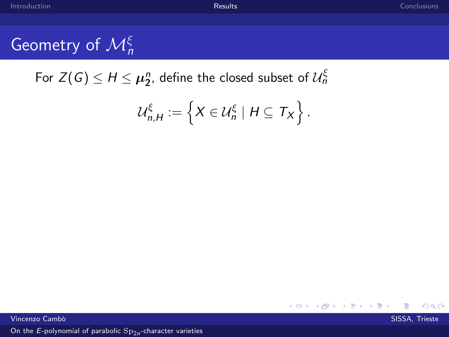For  $Z(G) \leq H \leq \mu_2^n$ , define the closed subset of  $\mathcal{U}_n^\xi$ 

$$
\mathcal{U}_{n,H}^{\xi} := \left\{ X \in \mathcal{U}_n^{\xi} \mid H \subseteq T_X \right\}.
$$

**Vincenzo Cambò** SISSA, Trieste, a componente del componente del componente del segueixa en el segueixa en el su

 $\Omega$ 

メロメ メ御 メメ きょうぼき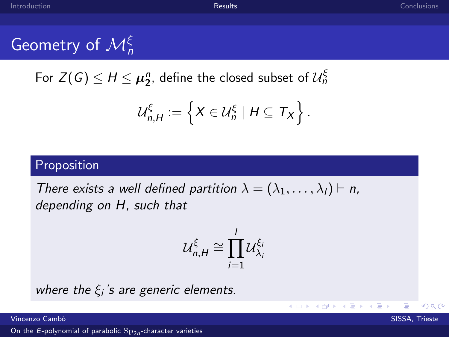## Geometry of  $\mathcal{M}^{\xi}_{n}$

For  $Z(G) \leq H \leq \mu_2^n$ , define the closed subset of  $\mathcal{U}_n^\xi$ 

$$
\mathcal{U}_{n,H}^{\xi} := \left\{ X \in \mathcal{U}_n^{\xi} \mid H \subseteq T_X \right\}.
$$

#### Proposition

There exists a well defined partition  $\lambda = (\lambda_1, \dots, \lambda_l) \vdash n$ , depending on H, such that

$$
\mathcal{U}_{n,H}^{\xi} \cong \prod_{i=1}^{I} \mathcal{U}_{\lambda_i}^{\xi_i}
$$

K ロ ⊁ K 個 ≯ K 差 ⊁ K

where the  $\xi_i$ 's are generic elements.

Vincenzo Cambò in controllato della controllato della controllato della controllato della controllato SISSA, Trieste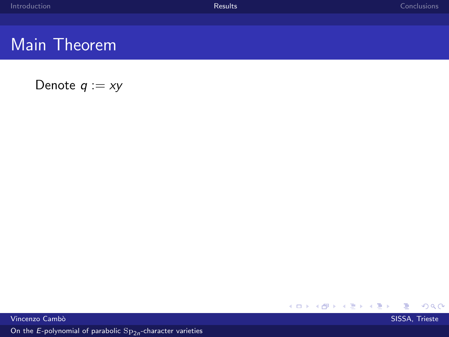### Main Theorem

Denote  $q := xy$ 

**K ロ ト K 御 ト K 君 ト K 君 ト**  $299$ €

Vincenzo Camb`o SISSA, Trieste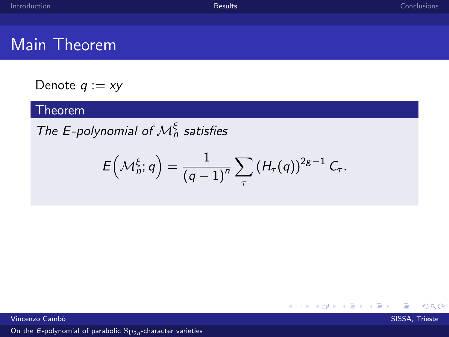### Main Theorem

Denote  $q := xy$ 

#### Theorem

The E-polynomial of  $\mathcal{M}_n^{\xi}$  satisfies

$$
E\left(\mathcal{M}_n^{\xi};q\right)=\frac{1}{\left(q-1\right)^n}\sum_{\tau}\left(H_{\tau}(q)\right)^{2g-1}C_{\tau}.
$$

**Vincenzo Cambò** SISSA, Trieste, a componente del componente del componente del segueixa en el segueixa en el su

∍

 $299$ 

K ロ ▶ K 御 ▶ K 君 ▶ K 君 ▶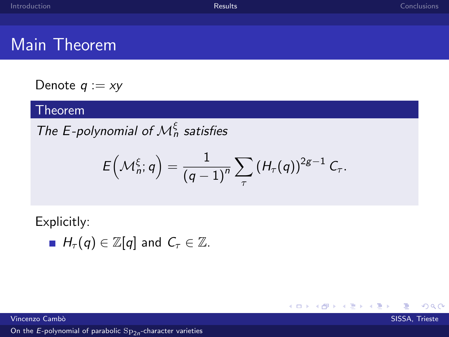K ロ ▶ K 御 ▶ K 君 ▶ K 君 ▶

∍

 $\Omega$ 

### Main Theorem

Denote  $q := xy$ 

#### Theorem

The E-polynomial of  $\mathcal{M}_n^{\xi}$  satisfies

$$
E\left(\mathcal{M}_n^{\xi};q\right)=\frac{1}{\left(q-1\right)^n}\sum_{\tau}\left(H_{\tau}(q)\right)^{2g-1}C_{\tau}.
$$

Explicitly:

 $H_{\tau}(q) \in \mathbb{Z}[q]$  and  $C_{\tau} \in \mathbb{Z}$ .

Vincenzo Cambò in controllato della controllato della controllato della controllato della controllato SISSA, Trieste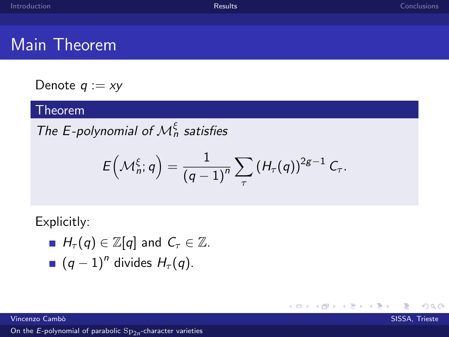メロメ メ御 メメ きょくきょう

Ε

 $299$ 

### Main Theorem

Denote  $q := xy$ 

#### Theorem

The E-polynomial of  $\mathcal{M}_n^{\xi}$  satisfies

$$
E\left(\mathcal{M}_n^{\xi};q\right)=\frac{1}{\left(q-1\right)^n}\sum_{\tau}\left(H_{\tau}(q)\right)^{2g-1}C_{\tau}.
$$

Explicitly:

$$
H_{\tau}(q) \in \mathbb{Z}[q] \text{ and } C_{\tau} \in \mathbb{Z}.
$$

 $(q-1)^n$  divides  $H_{\tau}(q)$ .

Vincenzo Cambò in controllato della controllato della controllato della controllato della controllato SISSA, Trieste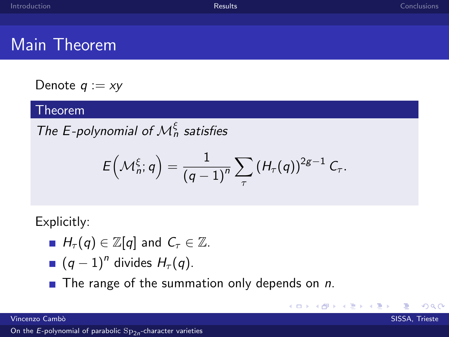$209$ 

### Main Theorem

Denote  $q := xy$ 

#### Theorem

The E-polynomial of  $\mathcal{M}_n^{\xi}$  satisfies

$$
E\left(\mathcal{M}_n^{\xi};q\right)=\frac{1}{\left(q-1\right)^n}\sum_{\tau}\left(H_{\tau}(q)\right)^{2g-1}C_{\tau}.
$$

メロメ メタメ メミメ メ

Explicitly:

- $H_{\tau}(q) \in \mathbb{Z}[q]$  and  $C_{\tau} \in \mathbb{Z}$ .
	- $(q-1)^n$  divides  $H_{\tau}(q)$ .
- $\blacksquare$  The range of the summation only depends on n.

Vincenzo Cambò in controllato della controllato della controllato della controllato della controllato SISSA, Trieste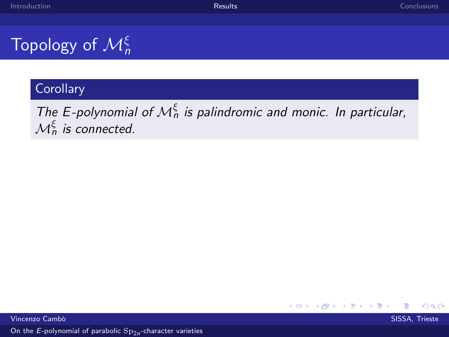## Topology of  $\mathcal{M}^{\xi}_{n}$

#### **Corollary**

The E-polynomial of  $\mathcal{M}_n^{\xi}$  is palindromic and monic. In particular,  $\mathcal{M}^{\xi}_n$  is connected.

 $\Omega$ 

**≮ロト ⊀ 御 ▶ ⊀ 君 ▶**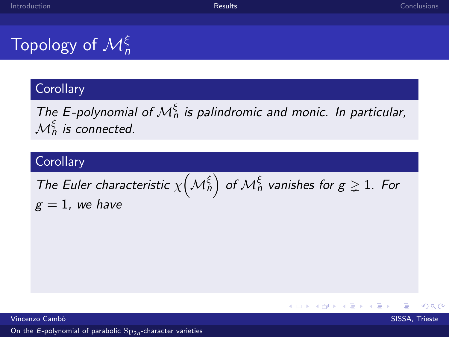## Topology of  $\mathcal{M}^{\xi}_{n}$

#### **Corollary**

The E-polynomial of  $\mathcal{M}_n^{\xi}$  is palindromic and monic. In particular,  $\mathcal{M}^{\xi}_n$  is connected.

#### **Corollary**

The Euler characteristic  $\chi\bigl({\cal M}^\xi_n\bigr)$  of  ${\cal M}^\xi_n$  vanishes for  $g\gneq 1$ . For  $g = 1$ , we have

Vincenzo Cambò in controllato della controllato della controllato della controllato della controllato SISSA, Trieste

 $\Omega$ 

**K ロ ▶ K @ ▶ K**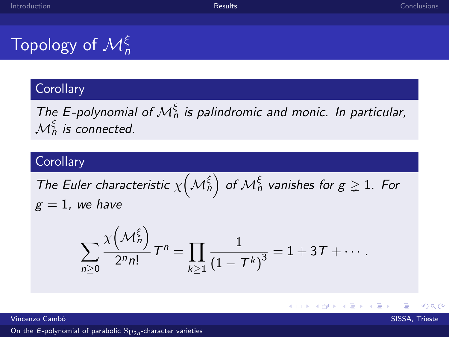## Topology of  $\mathcal{M}^{\xi}_{n}$

#### **Corollary**

The E-polynomial of  $\mathcal{M}_n^{\xi}$  is palindromic and monic. In particular,  $\mathcal{M}^{\xi}_n$  is connected.

#### **Corollary**

The Euler characteristic  $\chi\bigl({\cal M}^\xi_n\bigr)$  of  ${\cal M}^\xi_n$  vanishes for  $g\gneq 1$ . For  $g = 1$ , we have

$$
\sum_{n\geq 0}\frac{\chi\left(\mathcal{M}_n^{\xi}\right)}{2^n n!}T^n=\prod_{k\geq 1}\frac{1}{\left(1-\mathcal{T}^k\right)^3}=1+3\,\mathcal{T}+\cdots.
$$

**K ロ ▶ K @ ▶ K** 

Vincenzo Cambò in controllato della controllato della controllato della controllato della controllato SISSA, Trieste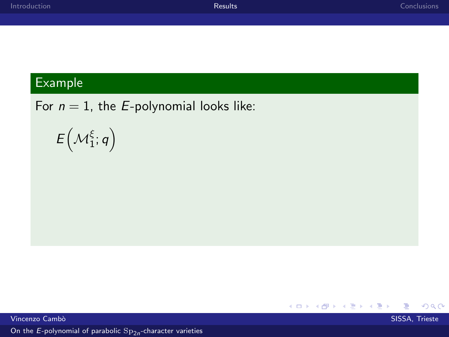#### Example

For  $n = 1$ , the *E*-polynomial looks like:

$$
E\left(\mathcal{M}_1^\xi;q\right)
$$

**K ロ ト K 御 ト K 君 ト K 君 ト** 目  $299$ Vincenzo Camb`o SISSA, Trieste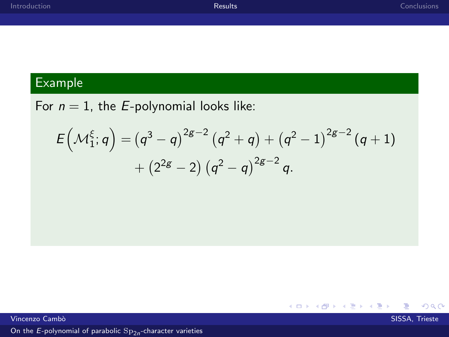$299$ 

目

メロメ メ都 メメ きょ メ きょ

#### Example

For  $n = 1$ , the *E*-polynomial looks like:

$$
\begin{aligned} E\Bigl({\cal M}_1^\xi;q\Bigr)=&\left(q^3-q\right)^{2g-2}\left(q^2+q\right)+\left(q^2-1\right)^{2g-2}(q+1)\\&+(2^{2g}-2)\left(q^2-q\right)^{2g-2}q.\end{aligned}
$$

Vincenzo Cambò a comunicazione di controllato di controllato di controllato di controllato di SISSA, Trieste d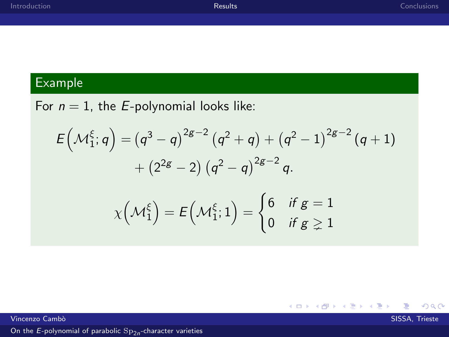$299$ 

目

#### Example

For  $n = 1$ , the *E*-polynomial looks like:

$$
E(\mathcal{M}_{1}^{\xi}; q) = (q^{3} - q)^{2g - 2} (q^{2} + q) + (q^{2} - 1)^{2g - 2} (q + 1) + (2^{2g} - 2) (q^{2} - q)^{2g - 2} q.
$$

$$
\chi(\mathcal{M}_{1}^{\xi}) = E(\mathcal{M}_{1}^{\xi}; 1) = \begin{cases} 6 & \text{if } g = 1 \\ 0 & \text{if } g \ge 1 \end{cases}
$$

**K ロ ト K 御 ト K 君 ト K 君 ト** 

Vincenzo Cambò a comunicazione di controllato di controllato di controllato di controllato di SISSA, Trieste d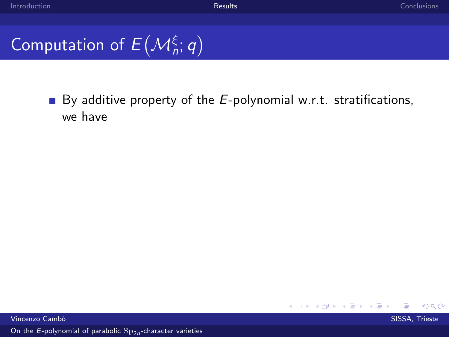## Computation of  $E(M_n^{\xi};q)$

By additive property of the  $E$ -polynomial w.r.t. stratifications, we have

Vincenzo Cambò in controllato della controllato della controllato della controllato della controllato SISSA, Trieste

 $\Omega$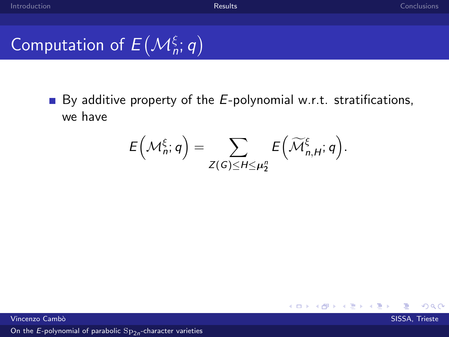## Computation of  $E(M_n^{\xi};q)$

By additive property of the  $E$ -polynomial w.r.t. stratifications, we have

$$
E\left(\mathcal{M}_n^{\xi};q\right)=\sum_{Z(G)\leq H\leq \mu_2^n}E\left(\widetilde{\mathcal{M}}_{n,H}^{\xi};q\right).
$$

Vincenzo Cambò in controllato della controllato della controllato della controllato della controllato SISSA, Trieste

 $\Omega$ 

メロメ メタメ メミメ メ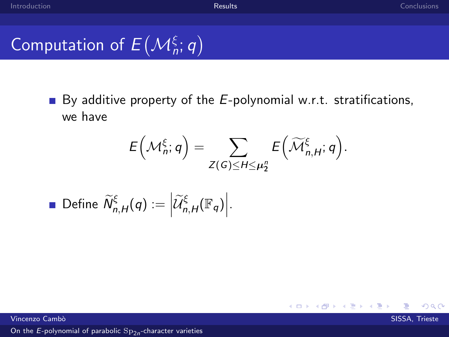$299$ 

Computation of 
$$
E(M_n^{\xi}; q)
$$

By additive property of the  $E$ -polynomial w.r.t. stratifications, we have

$$
E\left(\mathcal{M}_n^{\xi};q\right)=\sum_{Z(G)\leq H\leq \mu_2^n}E\left(\widetilde{\mathcal{M}}_{n,H}^{\xi};q\right).
$$

メロメ メ都 メメ きょ メモメ

• Define 
$$
\widetilde{N}_{n,H}^{\xi}(q) := \left| \widetilde{\mathcal{U}}_{n,H}^{\xi}(\mathbb{F}_q) \right|.
$$

Vincenzo Cambò in controllato della controllato della controllato della controllato della controllato SISSA, Trieste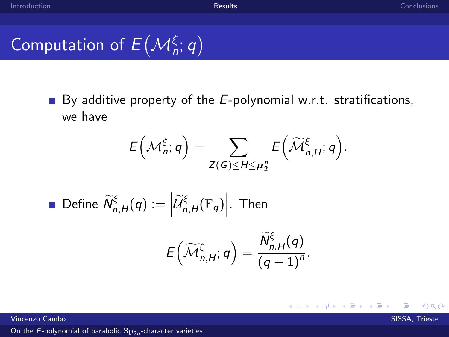$299$ 

Computation of 
$$
E(M_n^{\xi}; q)
$$

By additive property of the  $E$ -polynomial w.r.t. stratifications, we have

$$
E\left(\mathcal{M}_n^{\xi};q\right)=\sum_{Z(G)\leq H\leq \mu_2^n}E\left(\widetilde{\mathcal{M}}_{n,H}^{\xi};q\right).
$$

• Define 
$$
\widetilde{N}_{n,H}^{\xi}(q) := \left| \widetilde{\mathcal{U}}_{n,H}^{\xi}(\mathbb{F}_q) \right|
$$
. Then

$$
E\left(\widetilde{\mathcal{M}}_{n,H}^{\xi};q\right)=\frac{\widetilde{N}_{n,H}^{\xi}(q)}{(q-1)^n}.
$$

メロメ メ御メ メモメ メモメ

Vincenzo Cambò in compostante a compostante a compostante a compostante a compostante a SISSA, Trieste a SISSA, Trieste a compostante a compostante a compostante a compostante a compostante a compostante a compostante a co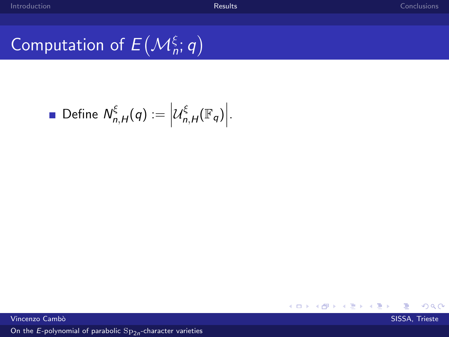## Computation of  $E(M_n^{\xi};q)$

• Define 
$$
N_{n,H}^{\xi}(q) := \left| \mathcal{U}_{n,H}^{\xi}(\mathbb{F}_q) \right|
$$
.

K ロ ▶ K 御 ▶ K 君 ▶ K 君 ▶  $299$ 目

vincenzo Cambò a comunicazione di controllato di controllato di controllato di controllato di SISSA, Trieste d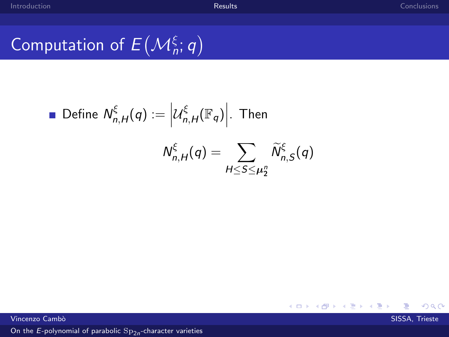## Computation of  $E(M_n^{\xi};q)$

Define 
$$
N_{n,H}^{\xi}(q) := \left| \mathcal{U}_{n,H}^{\xi}(\mathbb{F}_q) \right|
$$
. Then

\n
$$
N_{n,H}^{\xi}(q) = \sum_{H \leq S \leq \mu_2^n} \widetilde{N}_{n,S}^{\xi}(q)
$$

メロメ メタメ メミメ メミメ  $299$ ≣

Vincenzo Cambò a comunicazione di controllato di controllato di controllato di controllato di SISSA, Trieste d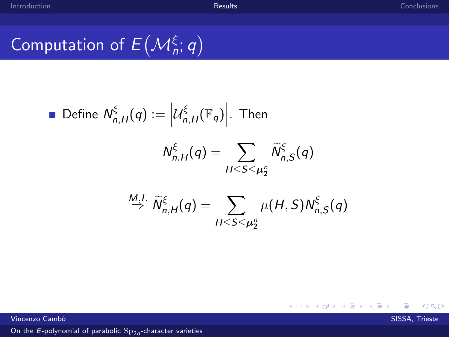T.

 $299$ 

≣

メロメ メタメ メミメ メミメ

## Computation of  $E(M_n^{\xi};q)$

Define 
$$
N_{n,H}^{\xi}(q) := |U_{n,H}^{\xi}(\mathbb{F}_q)|
$$
. Then  
\n
$$
N_{n,H}^{\xi}(q) = \sum_{H \leq S \leq \mu_2^n} \widetilde{N}_{n,S}^{\xi}(q)
$$
\n
$$
\stackrel{M,I}{\Rightarrow} \widetilde{N}_{n,H}^{\xi}(q) = \sum_{H \leq S \leq \mu_2^n} \mu(H, S) N_{n,S}^{\xi}(q)
$$

Vincenzo Camb`o SISSA, Trieste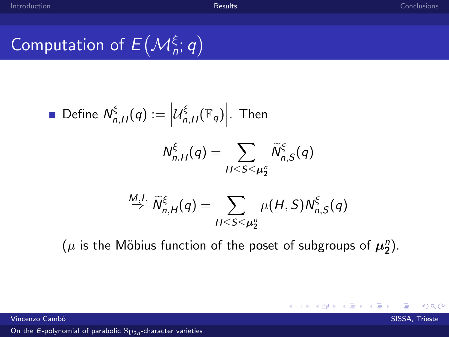$209$ 

## Computation of  $E(M_n^{\xi};q)$

Define 
$$
N_{n,H}^{\xi}(q) := \left| \mathcal{U}_{n,H}^{\xi}(\mathbb{F}_q) \right|
$$
. Then

\n
$$
N_{n,H}^{\xi}(q) = \sum_{H \leq S \leq \mu_2^n} \widetilde{N}_{n,S}^{\xi}(q)
$$
\n
$$
\xrightarrow{M,H} \widetilde{N}_{n,H}^{\xi}(q) = \sum_{H \leq S \leq \mu_2^n} \mu(H, S) N_{n,S}^{\xi}(q)
$$

 $(\mu$  is the Möbius function of the poset of subgroups of  $\mu_2^n$ ).

メロメ メタメ メミメ メ

Vincenzo Cambò in compostante a compostante a compostante a compostante a compostante a SISSA, Trieste a SISSA, Trieste a compostante a compostante a compostante a compostante a compostante a compostante a compostante a co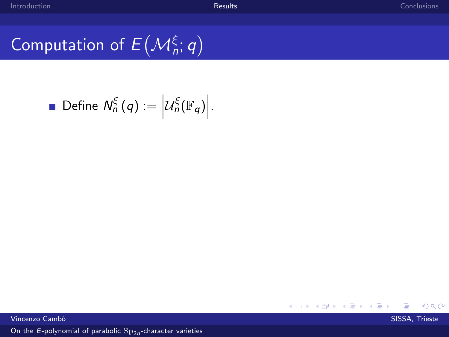## Computation of  $E(M_n^{\xi};q)$

• Define 
$$
N_n^{\xi}(q) := |U_n^{\xi}(\mathbb{F}_q)|
$$
.



Vincenzo Camb`o SISSA, Trieste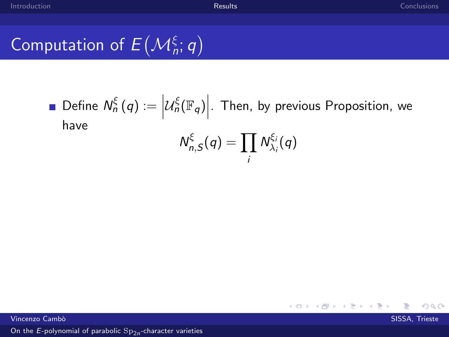## Computation of  $E(M_n^{\xi};q)$

Define  $N_n^{\xi}(q) :=$  $\mathcal{U}^{\xi}_n(\mathbb{F}_q)\Big|$ . Then, by previous Proposition, we have ξ

$$
N_{n,S}^{\xi}(q)=\prod_i N_{\lambda_i}^{\xi_i}(q)
$$

Vincenzo Cambò in compostante a compostante a compostante a compostante a compostante a SISSA, Trieste a SISSA, Trieste a compostante a compostante a compostante a compostante a compostante a compostante a compostante a co

 $\Omega$ 

メロメ メ御き メミメメミド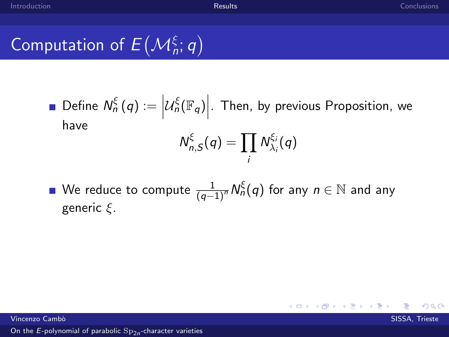## Computation of  $E(M_n^{\xi};q)$

Define  $N_n^{\xi}(q) :=$  $\mathcal{U}^{\xi}_n(\mathbb{F}_q)\Big|$ . Then, by previous Proposition, we have ξ ξi

$$
N_{n,S}^{\xi}(q)=\prod_i N_{\lambda_i}^{\xi_i}(q)
$$

メロメ メ御 メメ きょくきょう

We reduce to compute  $\frac{1}{(q-1)^n} \mathsf{N}_n^\xi(q)$  for any  $n \in \mathbb{N}$  and any generic ξ.

Vincenzo Cambò in compostante a compostante a compostante a compostante a compostante a SISSA, Trieste a SISSA, Trieste a compostante a compostante a compostante a compostante a compostante a compostante a compostante a co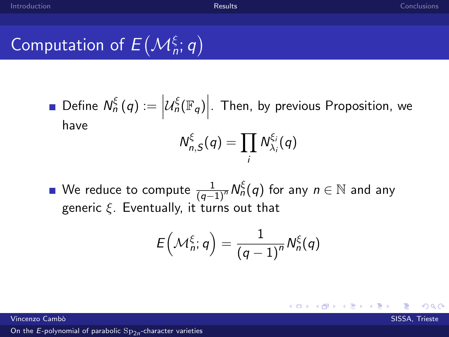## Computation of  $E(M_n^{\xi};q)$

Define  $N_n^{\xi}(q) :=$  $\mathcal{U}^{\xi}_n(\mathbb{F}_q)\Big|$ . Then, by previous Proposition, we have ξ ξi

$$
N_{n,S}^{\xi}(q)=\prod_i N_{\lambda_i}^{\xi_i}(q)
$$

We reduce to compute  $\frac{1}{(q-1)^n} \mathsf{N}_n^\xi(q)$  for any  $n \in \mathbb{N}$  and any generic  $\xi$ . Eventually, it turns out that

$$
E\left(\mathcal{M}_n^{\xi};q\right)=\frac{1}{\left(q-1\right)^n}N_n^{\xi}(q)
$$

メロメ メ御 メメ きょうくきょう

Vincenzo Cambò in compostante a compostante a compostante a compostante a compostante a SISSA, Trieste a SISSA, Trieste a compostante a compostante a compostante a compostante a compostante a compostante a compostante a co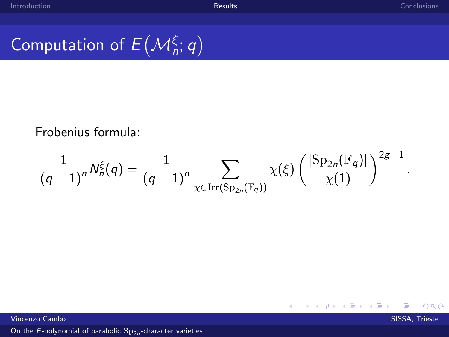## Computation of  $E(M_n^{\xi};q)$

Frobenius formula:

$$
\frac{1}{(q-1)^n}N_n^{\xi}(q)=\frac{1}{(q-1)^n}\sum_{\chi\in\operatorname{Irr}(\operatorname{Sp}_{2n}(\mathbb{F}_q))}\chi(\xi)\left(\frac{|\operatorname{Sp}_{2n}(\mathbb{F}_q)|}{\chi(1)}\right)^{2g-1}.
$$

Vincenzo Cambò in compostante a compostante a compostante a compostante a compostante a SISSA, Trieste a SISSA, Trieste a compostante a compostante a compostante a compostante a compostante a compostante a compostante a co

 $299$ 

メロメ メ都 メメ きょ メモメ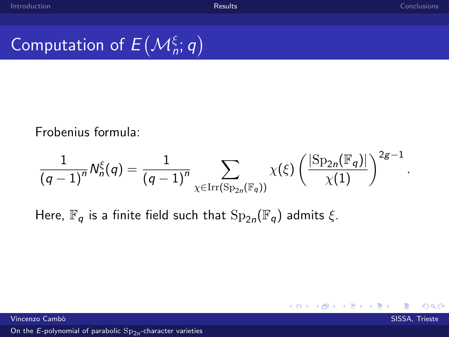$QQ$ 

## Computation of  $E(M_n^{\xi};q)$

Frobenius formula:

$$
\frac{1}{(q-1)^n}N_n^{\xi}(q)=\frac{1}{(q-1)^n}\sum_{\chi\in\operatorname{Irr}(\operatorname{Sp}_{2n}(\mathbb{F}_q))}\chi(\xi)\left(\frac{|\operatorname{Sp}_{2n}(\mathbb{F}_q)|}{\chi(1)}\right)^{2g-1}.
$$

メロトメ部 トメミドメ

Here,  $\mathbb{F}_q$  is a finite field such that  $\text{Sp}_{2n}(\mathbb{F}_q)$  admits  $\xi$ .

Vincenzo Cambò in compostante a compostante a compostante a compostante a compostante a SISSA, Trieste a SISSA, Trieste a compostante a compostante a compostante a compostante a compostante a compostante a compostante a co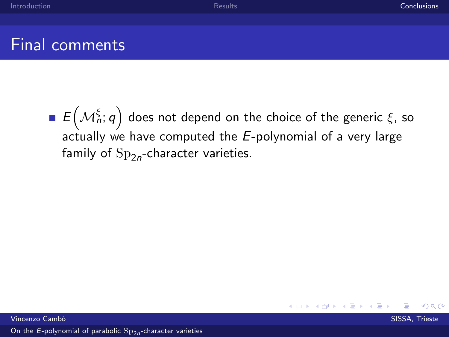### <span id="page-60-0"></span>Final comments

 $E\bigl(\mathcal{M}_n^\xi;q\bigr)$  does not depend on the choice of the generic  $\xi$ , so actually we have computed the  $E$ -polynomial of a very large family of  $\mathrm{Sp}_{2n}$ -character varieties.

Vincenzo Cambò in compostante a compostante a compostante a compostante a compostante a SISSA, Trieste a SISSA, Trieste a compostante a compostante a compostante a compostante a compostante a compostante a compostante a co

 $\Omega$ 

**≮ロト ⊀ 倒 ト ⊀ き ト**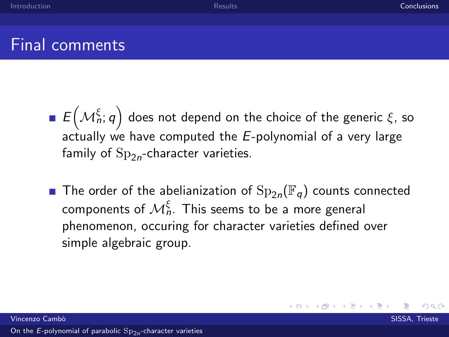### Final comments

- $E\bigl(\mathcal{M}_n^\xi;q\bigr)$  does not depend on the choice of the generic  $\xi$ , so actually we have computed the  $E$ -polynomial of a very large family of  $\mathrm{Sp}_{2n}$ -character varieties.
- The order of the abelianization of  ${\rm Sp}_{2n}(\mathbb{F}_q)$  counts connected components of  $\mathcal{M}^\xi_n$ . This seems to be a more general phenomenon, occuring for character varieties defined over simple algebraic group.

**K ロ ⊁ K 伊 ⊁ K ミ ⊁**